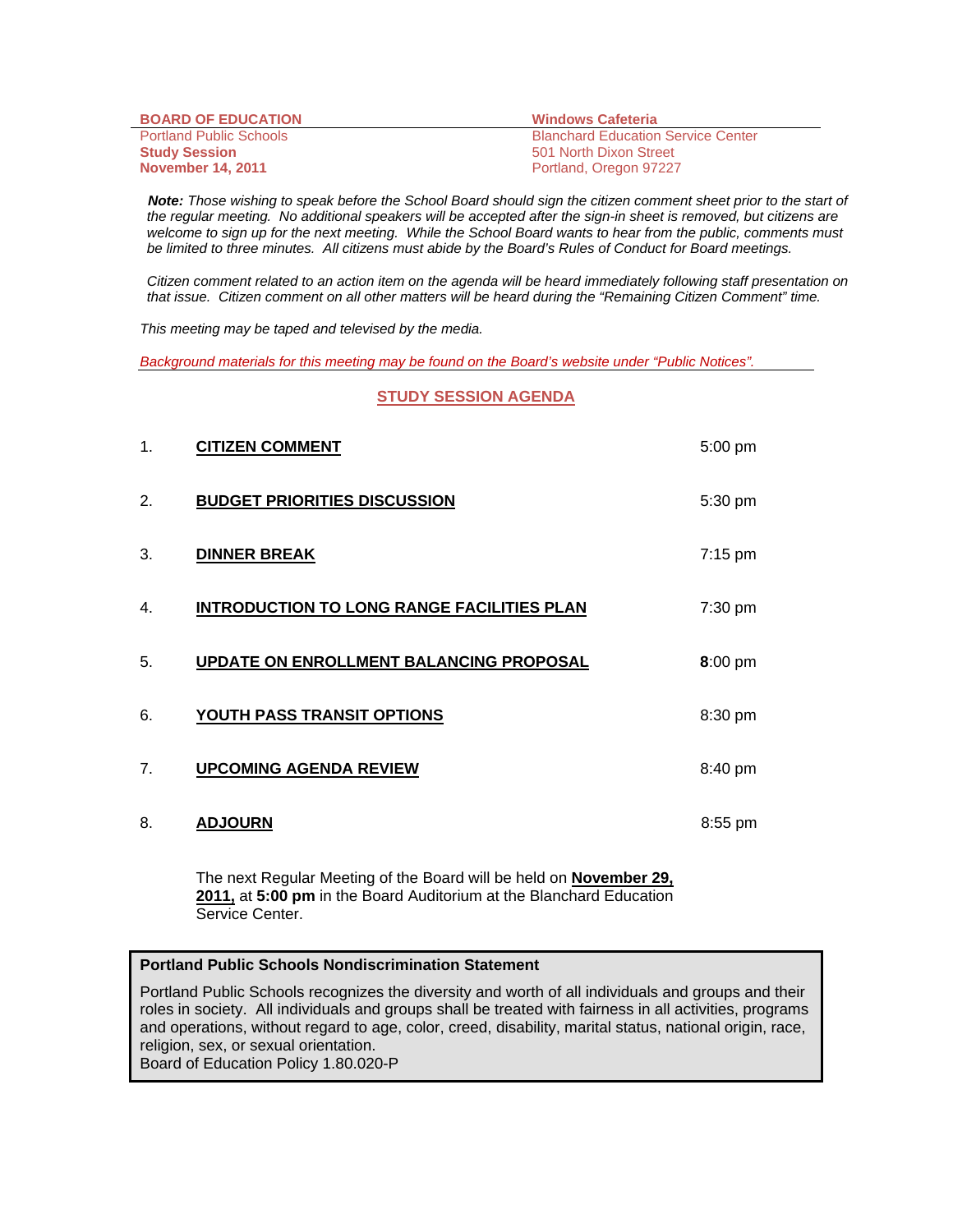| <b>BOARD OF EDUCATION</b>      | <b>Windows Cafeteria</b>                  |
|--------------------------------|-------------------------------------------|
| <b>Portland Public Schools</b> | <b>Blanchard Education Service Center</b> |
| <b>Study Session</b>           | 501 North Dixon Street                    |
| <b>November 14, 2011</b>       | Portland, Oregon 97227                    |

 *Note: Those wishing to speak before the School Board should sign the citizen comment sheet prior to the start of the regular meeting. No additional speakers will be accepted after the sign-in sheet is removed, but citizens are welcome to sign up for the next meeting. While the School Board wants to hear from the public, comments must be limited to three minutes. All citizens must abide by the Board's Rules of Conduct for Board meetings.* 

 *Citizen comment related to an action item on the agenda will be heard immediately following staff presentation on that issue. Citizen comment on all other matters will be heard during the "Remaining Citizen Comment" time.* 

*This meeting may be taped and televised by the media.* 

*Background materials for this meeting may be found on the Board's website under "Public Notices".*

#### **STUDY SESSION AGENDA**

| 1.             | <b>CITIZEN COMMENT</b>                            | $5:00$ pm         |
|----------------|---------------------------------------------------|-------------------|
| 2.             | <b>BUDGET PRIORITIES DISCUSSION</b>               | 5:30 pm           |
| 3.             | <b>DINNER BREAK</b>                               | $7:15 \text{ pm}$ |
| 4.             | <b>INTRODUCTION TO LONG RANGE FACILITIES PLAN</b> | 7:30 pm           |
| 5.             | UPDATE ON ENROLLMENT BALANCING PROPOSAL           | 8:00 pm           |
| 6.             | <b>YOUTH PASS TRANSIT OPTIONS</b>                 | 8:30 pm           |
| 7 <sub>1</sub> | <b>UPCOMING AGENDA REVIEW</b>                     | 8:40 pm           |
| 8.             | <b>ADJOURN</b>                                    | $8:55$ pm         |

The next Regular Meeting of the Board will be held on **November 29, 2011,** at **5:00 pm** in the Board Auditorium at the Blanchard Education Service Center.

#### **Portland Public Schools Nondiscrimination Statement**

Portland Public Schools recognizes the diversity and worth of all individuals and groups and their roles in society. All individuals and groups shall be treated with fairness in all activities, programs and operations, without regard to age, color, creed, disability, marital status, national origin, race, religion, sex, or sexual orientation.

Board of Education Policy 1.80.020-P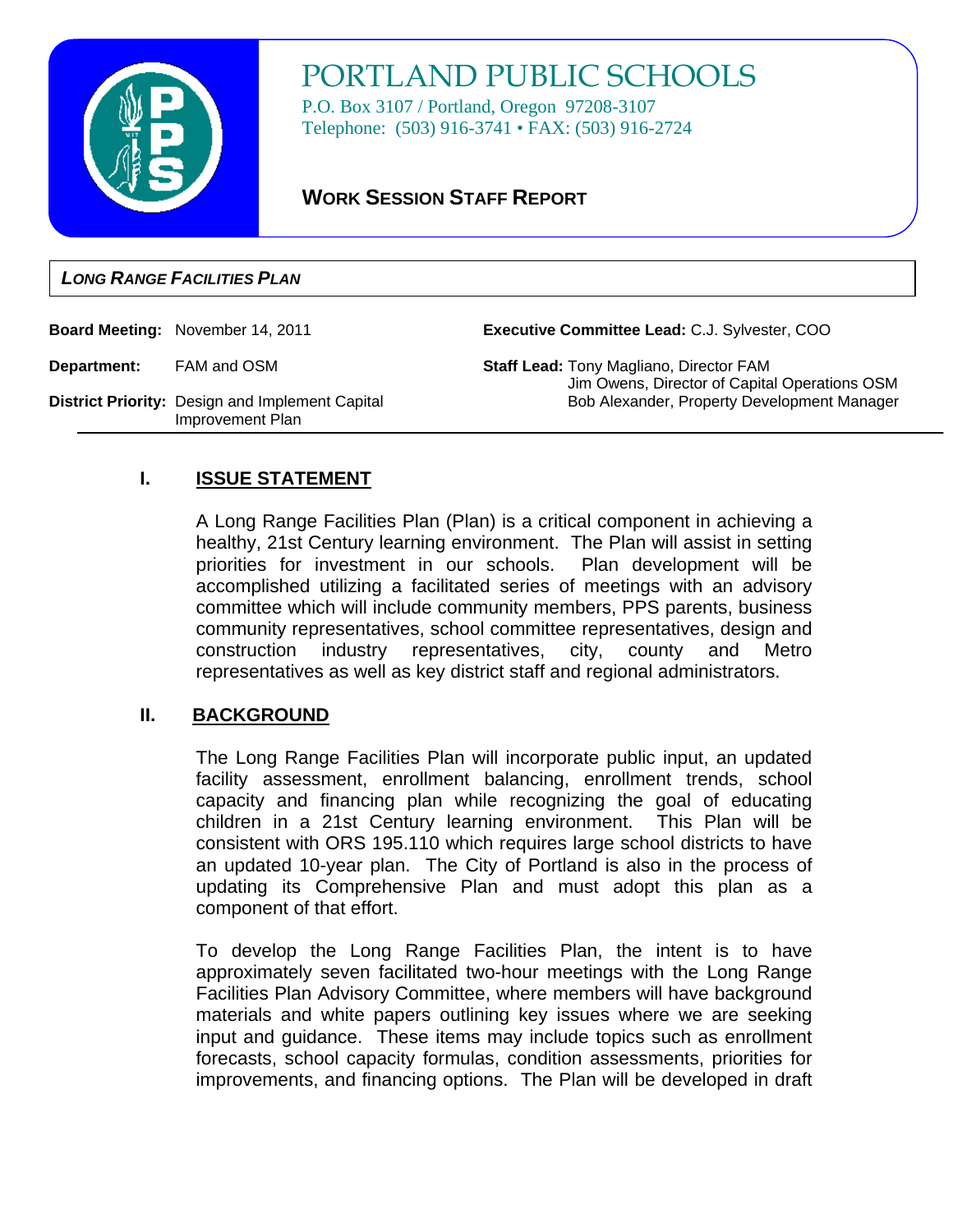

# PORTLAND PUBLIC SCHOOLS

P.O. Box 3107 / Portland, Oregon 97208-3107 Telephone: (503) 916-3741 • FAX: (503) 916-2724

# **WORK SESSION STAFF REPORT**

## **LONG RANGE FACILITIES PLAN**

**Board Meeting:** November 14, 2011

**Executive Committee Lead:** C.J. Sylvester, COO

**Department:** FAM and OSM

**Staff Lead:** Tony Magliano, Director FAM Jim Owens, Director of Capital Operations OSM Bob Alexander, Property Development Manager

## **District Priority:** Design and Implement Capital Improvement Plan

# **I. ISSUE STATEMENT**

A Long Range Facilities Plan (Plan) is a critical component in achieving a healthy, 21st Century learning environment. The Plan will assist in setting priorities for investment in our schools. Plan development will be accomplished utilizing a facilitated series of meetings with an advisory committee which will include community members, PPS parents, business community representatives, school committee representatives, design and construction industry representatives, city, county and Metro representatives as well as key district staff and regional administrators.

## **II. BACKGROUND**

The Long Range Facilities Plan will incorporate public input, an updated facility assessment, enrollment balancing, enrollment trends, school capacity and financing plan while recognizing the goal of educating children in a 21st Century learning environment. This Plan will be consistent with ORS 195.110 which requires large school districts to have an updated 10-year plan. The City of Portland is also in the process of updating its Comprehensive Plan and must adopt this plan as a component of that effort.

To develop the Long Range Facilities Plan, the intent is to have approximately seven facilitated two-hour meetings with the Long Range Facilities Plan Advisory Committee, where members will have background materials and white papers outlining key issues where we are seeking input and guidance. These items may include topics such as enrollment forecasts, school capacity formulas, condition assessments, priorities for improvements, and financing options. The Plan will be developed in draft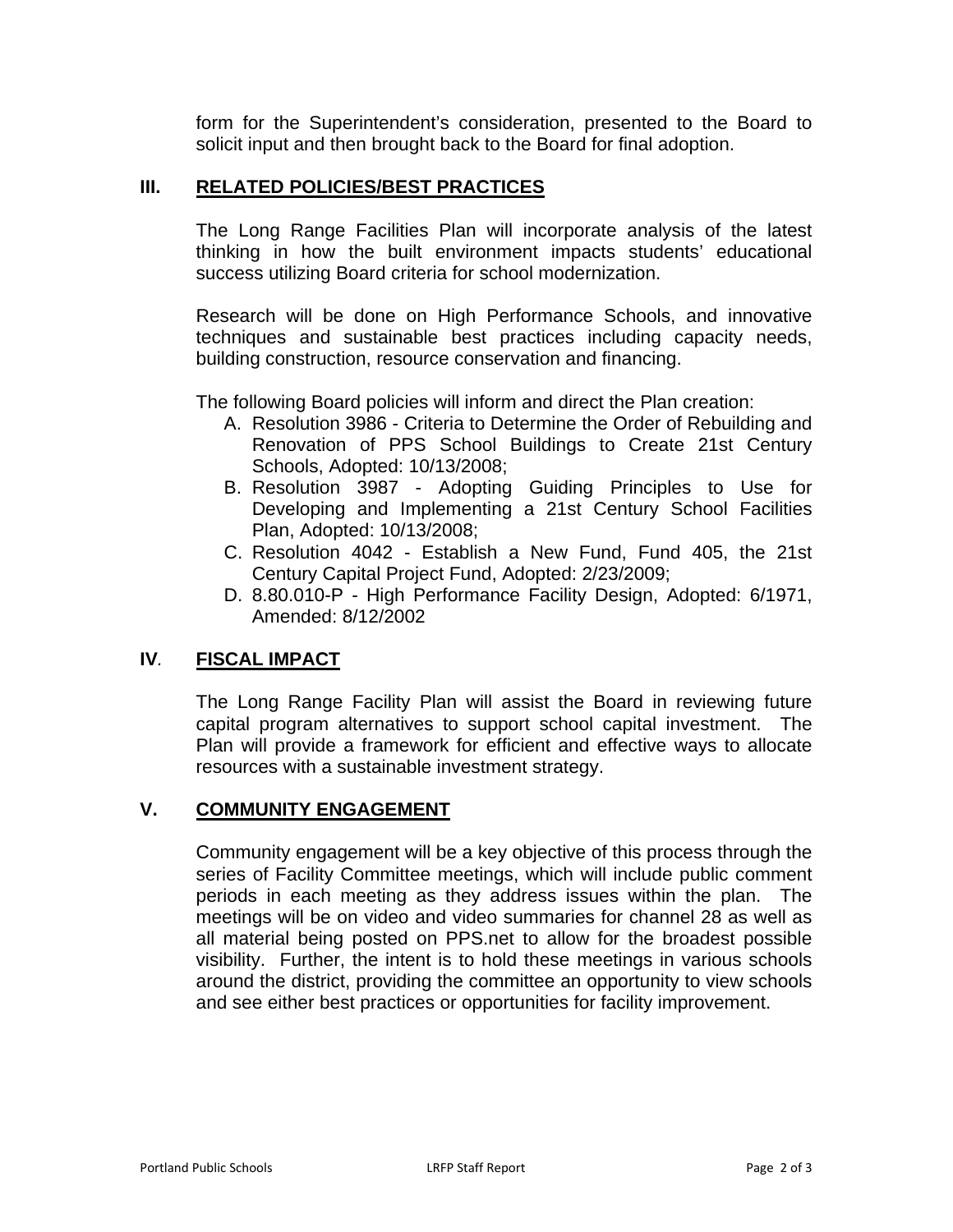form for the Superintendent's consideration, presented to the Board to solicit input and then brought back to the Board for final adoption.

## **III. RELATED POLICIES/BEST PRACTICES**

The Long Range Facilities Plan will incorporate analysis of the latest thinking in how the built environment impacts students' educational success utilizing Board criteria for school modernization.

Research will be done on High Performance Schools, and innovative techniques and sustainable best practices including capacity needs, building construction, resource conservation and financing.

The following Board policies will inform and direct the Plan creation:

- A. Resolution 3986 Criteria to Determine the Order of Rebuilding and Renovation of PPS School Buildings to Create 21st Century Schools, Adopted: 10/13/2008;
- B. Resolution 3987 Adopting Guiding Principles to Use for Developing and Implementing a 21st Century School Facilities Plan, Adopted: 10/13/2008;
- C. Resolution 4042 Establish a New Fund, Fund 405, the 21st Century Capital Project Fund, Adopted: 2/23/2009;
- D. 8.80.010-P High Performance Facility Design, Adopted: 6/1971, Amended: 8/12/2002

## **IV***.* **FISCAL IMPACT**

The Long Range Facility Plan will assist the Board in reviewing future capital program alternatives to support school capital investment. The Plan will provide a framework for efficient and effective ways to allocate resources with a sustainable investment strategy.

## **V. COMMUNITY ENGAGEMENT**

Community engagement will be a key objective of this process through the series of Facility Committee meetings, which will include public comment periods in each meeting as they address issues within the plan. The meetings will be on video and video summaries for channel 28 as well as all material being posted on PPS.net to allow for the broadest possible visibility. Further, the intent is to hold these meetings in various schools around the district, providing the committee an opportunity to view schools and see either best practices or opportunities for facility improvement.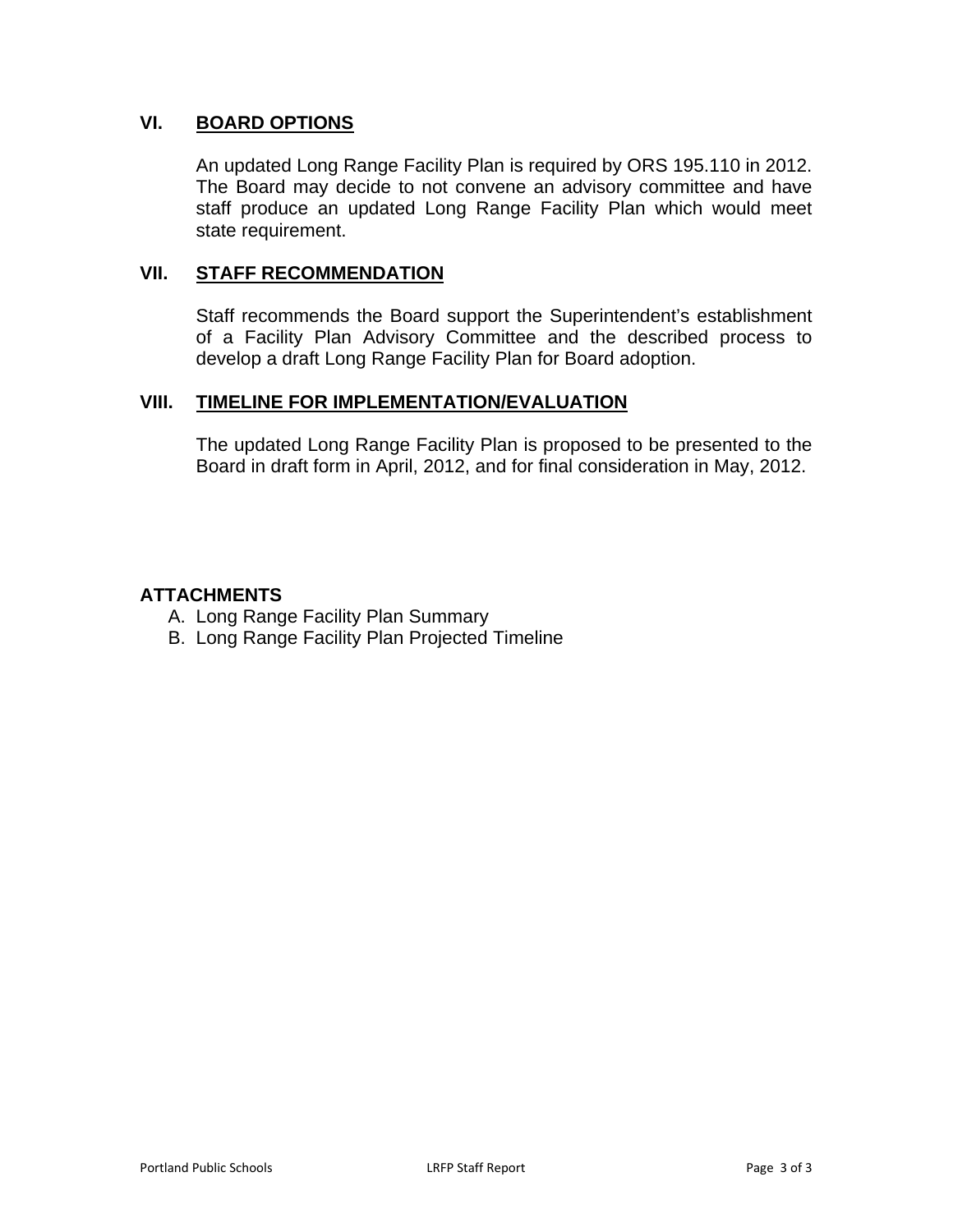## **VI. BOARD OPTIONS**

An updated Long Range Facility Plan is required by ORS 195.110 in 2012. The Board may decide to not convene an advisory committee and have staff produce an updated Long Range Facility Plan which would meet state requirement.

## **VII. STAFF RECOMMENDATION**

Staff recommends the Board support the Superintendent's establishment of a Facility Plan Advisory Committee and the described process to develop a draft Long Range Facility Plan for Board adoption.

## **VIII. TIMELINE FOR IMPLEMENTATION/EVALUATION**

The updated Long Range Facility Plan is proposed to be presented to the Board in draft form in April, 2012, and for final consideration in May, 2012.

## **ATTACHMENTS**

- A. Long Range Facility Plan Summary
- B. Long Range Facility Plan Projected Timeline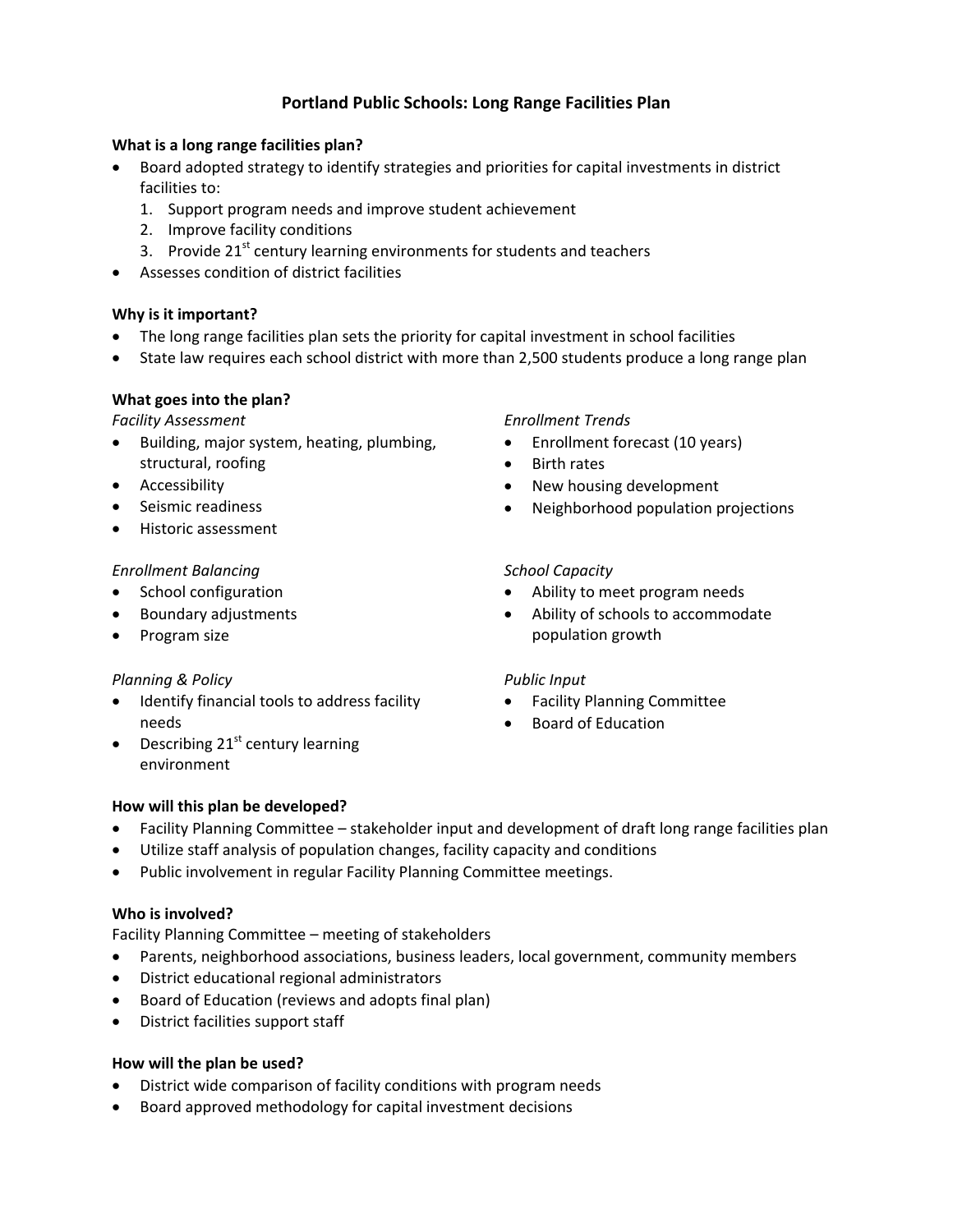## **Portland Public Schools: Long Range Facilities Plan**

## **What is a long range facilities plan?**

- Board adopted strategy to identify strategies and priorities for capital investments in district facilities to:
	- 1. Support program needs and improve student achievement
	- 2. Improve facility conditions
	- 3. Provide  $21^{st}$  century learning environments for students and teachers
- Assesses condition of district facilities

## **Why is it important?**

- The long range facilities plan sets the priority for capital investment in school facilities
- State law requires each school district with more than 2,500 students produce a long range plan

## **What goes into the plan?**

#### *Facility Assessment*

- Building, major system, heating, plumbing, structural, roofing
- Accessibility
- Seismic readiness
- Historic assessment

## *Enrollment Balancing*

- School configuration
- Boundary adjustments
- Program size

## *Planning & Policy*

- Identify financial tools to address facility needs
- $\bullet$  Describing 21<sup>st</sup> century learning environment

## *Enrollment Trends*

- Enrollment forecast (10 years)
- Birth rates
- New housing development
- Neighborhood population projections

## *School Capacity*

- Ability to meet program needs
- Ability of schools to accommodate population growth

## *Public Input*

- Facility Planning Committee
- Board of Education

## **How will this plan be developed?**

- Facility Planning Committee stakeholder input and development of draft long range facilities plan
- Utilize staff analysis of population changes, facility capacity and conditions
- Public involvement in regular Facility Planning Committee meetings.

## **Who is involved?**

Facility Planning Committee – meeting of stakeholders

- Parents, neighborhood associations, business leaders, local government, community members
- District educational regional administrators
- Board of Education (reviews and adopts final plan)
- District facilities support staff

## **How will the plan be used?**

- District wide comparison of facility conditions with program needs
- Board approved methodology for capital investment decisions